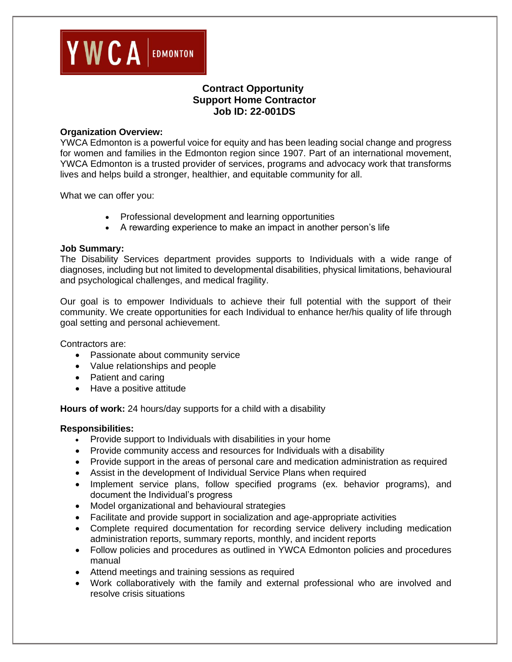

# **Contract Opportunity Support Home Contractor Job ID: 22-001DS**

#### **Organization Overview:**

YWCA Edmonton is a powerful voice for equity and has been leading social change and progress for women and families in the Edmonton region since 1907. Part of an international movement, YWCA Edmonton is a trusted provider of services, programs and advocacy work that transforms lives and helps build a stronger, healthier, and equitable community for all.

What we can offer you:

- Professional development and learning opportunities
- A rewarding experience to make an impact in another person's life

#### **Job Summary:**

The Disability Services department provides supports to Individuals with a wide range of diagnoses, including but not limited to developmental disabilities, physical limitations, behavioural and psychological challenges, and medical fragility.

Our goal is to empower Individuals to achieve their full potential with the support of their community. We create opportunities for each Individual to enhance her/his quality of life through goal setting and personal achievement.

Contractors are:

- Passionate about community service
- Value relationships and people
- Patient and caring
- Have a positive attitude

**Hours of work:** 24 hours/day supports for a child with a disability

### **Responsibilities:**

- Provide support to Individuals with disabilities in your home
- Provide community access and resources for Individuals with a disability
- Provide support in the areas of personal care and medication administration as required
- Assist in the development of Individual Service Plans when required
- Implement service plans, follow specified programs (ex. behavior programs), and document the Individual's progress
- Model organizational and behavioural strategies
- Facilitate and provide support in socialization and age-appropriate activities
- Complete required documentation for recording service delivery including medication administration reports, summary reports, monthly, and incident reports
- Follow policies and procedures as outlined in YWCA Edmonton policies and procedures manual
- Attend meetings and training sessions as required
- Work collaboratively with the family and external professional who are involved and resolve crisis situations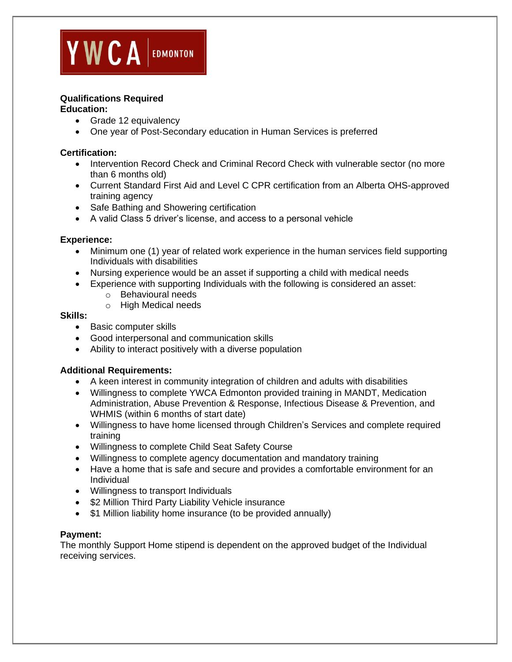

## **Qualifications Required**

#### **Education:**

- Grade 12 equivalency
- One year of Post-Secondary education in Human Services is preferred

#### **Certification:**

- Intervention Record Check and Criminal Record Check with vulnerable sector (no more than 6 months old)
- Current Standard First Aid and Level C CPR certification from an Alberta OHS-approved training agency
- Safe Bathing and Showering certification
- A valid Class 5 driver's license, and access to a personal vehicle

#### **Experience:**

- Minimum one (1) year of related work experience in the human services field supporting Individuals with disabilities
- Nursing experience would be an asset if supporting a child with medical needs
- Experience with supporting Individuals with the following is considered an asset:
	- o Behavioural needs
	- o High Medical needs

#### **Skills:**

- Basic computer skills
- Good interpersonal and communication skills
- Ability to interact positively with a diverse population

### **Additional Requirements:**

- A keen interest in community integration of children and adults with disabilities
- Willingness to complete YWCA Edmonton provided training in MANDT, Medication Administration, Abuse Prevention & Response, Infectious Disease & Prevention, and WHMIS (within 6 months of start date)
- Willingness to have home licensed through Children's Services and complete required training
- Willingness to complete Child Seat Safety Course
- Willingness to complete agency documentation and mandatory training
- Have a home that is safe and secure and provides a comfortable environment for an Individual
- Willingness to transport Individuals
- \$2 Million Third Party Liability Vehicle insurance
- \$1 Million liability home insurance (to be provided annually)

#### **Payment:**

The monthly Support Home stipend is dependent on the approved budget of the Individual receiving services.